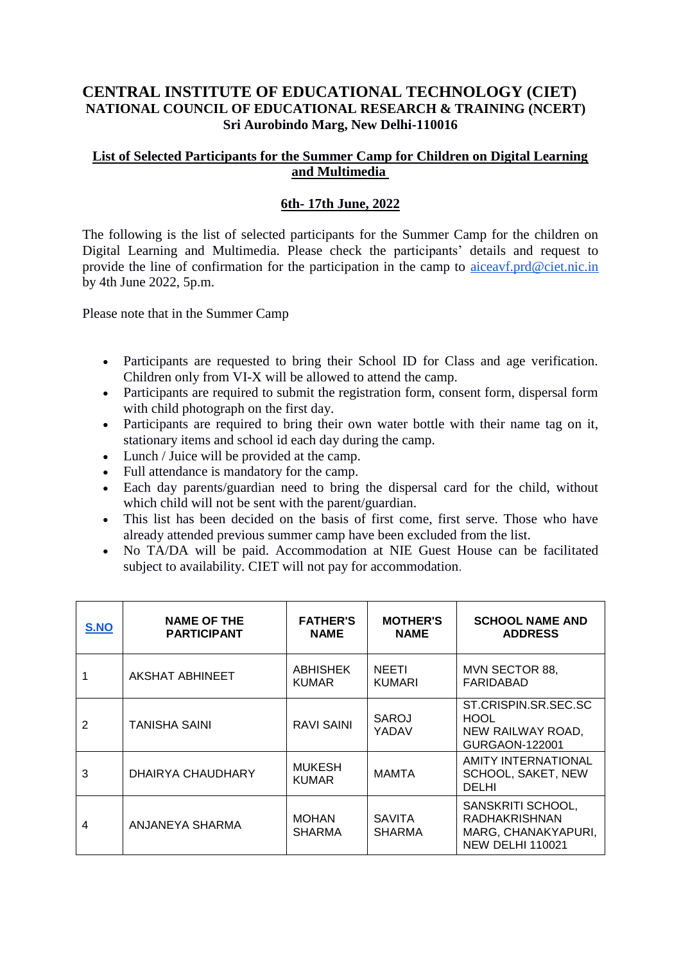## **CENTRAL INSTITUTE OF EDUCATIONAL TECHNOLOGY (CIET) NATIONAL COUNCIL OF EDUCATIONAL RESEARCH & TRAINING (NCERT) Sri Aurobindo Marg, New Delhi-110016**

## **List of Selected Participants for the Summer Camp for Children on Digital Learning and Multimedia**

## **6th- 17th June, 2022**

The following is the list of selected participants for the Summer Camp for the children on Digital Learning and Multimedia. Please check the participants' details and request to provide the line of confirmation for the participation in the camp to [aiceavf.prd@ciet.nic.in](mailto:aiceavf.prd@ciet.nic.in) by 4th June 2022, 5p.m.

Please note that in the Summer Camp

- Participants are requested to bring their School ID for Class and age verification. Children only from VI-X will be allowed to attend the camp.
- Participants are required to submit the registration form, consent form, dispersal form with child photograph on the first day.
- Participants are required to bring their own water bottle with their name tag on it, stationary items and school id each day during the camp.
- Lunch / Juice will be provided at the camp.
- Full attendance is mandatory for the camp.
- Each day parents/guardian need to bring the dispersal card for the child, without which child will not be sent with the parent/guardian.
- This list has been decided on the basis of first come, first serve. Those who have already attended previous summer camp have been excluded from the list.
- No TA/DA will be paid. Accommodation at NIE Guest House can be facilitated subject to availability. CIET will not pay for accommodation.

| <b>S.NO</b> | <b>NAME OF THE</b><br><b>PARTICIPANT</b> | <b>FATHER'S</b><br><b>NAME</b>  | <b>MOTHER'S</b><br><b>NAME</b> | <b>SCHOOL NAME AND</b><br><b>ADDRESS</b>                                                    |
|-------------|------------------------------------------|---------------------------------|--------------------------------|---------------------------------------------------------------------------------------------|
|             | <b>AKSHAT ABHINEET</b>                   | <b>ABHISHEK</b><br><b>KUMAR</b> | <b>NEETI</b><br>KUMARI         | MVN SECTOR 88,<br>FARIDABAD                                                                 |
| 2           | <b>TANISHA SAINI</b>                     | RAVI SAINI                      | SAROJ<br>YADAV                 | ST.CRISPIN.SR.SEC.SC<br><b>HOOL</b><br>NEW RAILWAY ROAD,<br>GURGAON-122001                  |
| 3           | DHAIRYA CHAUDHARY                        | <b>MUKESH</b><br><b>KUMAR</b>   | MAMTA                          | <b>AMITY INTERNATIONAL</b><br>SCHOOL, SAKET, NEW<br>DELHI                                   |
| 4           | ANJANEYA SHARMA                          | <b>MOHAN</b><br><b>SHARMA</b>   | <b>SAVITA</b><br>SHARMA        | SANSKRITI SCHOOL,<br><b>RADHAKRISHNAN</b><br>MARG, CHANAKYAPURI,<br><b>NEW DELHI 110021</b> |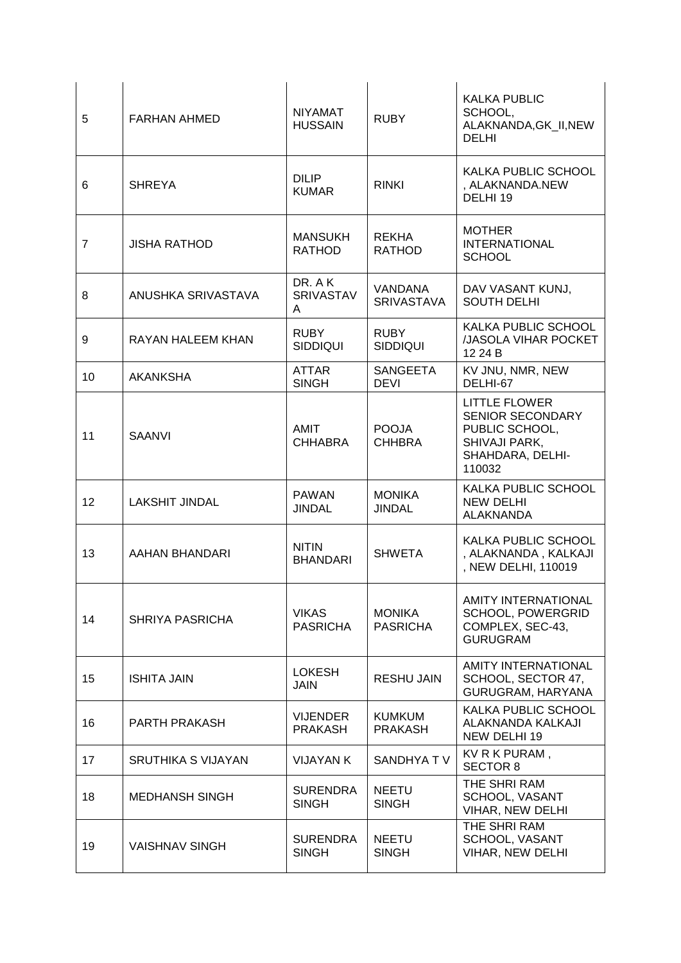| 5               | <b>FARHAN AHMED</b>       | <b>NIYAMAT</b><br><b>HUSSAIN</b>  | <b>RUBY</b>                         | <b>KALKA PUBLIC</b><br>SCHOOL,<br>ALAKNANDA, GK_II, NEW<br><b>DELHI</b>                                          |
|-----------------|---------------------------|-----------------------------------|-------------------------------------|------------------------------------------------------------------------------------------------------------------|
| 6               | <b>SHREYA</b>             | <b>DILIP</b><br><b>KUMAR</b>      | <b>RINKI</b>                        | KALKA PUBLIC SCHOOL<br>, ALAKNANDA.NEW<br>DELHI 19                                                               |
| $\overline{7}$  | <b>JISHA RATHOD</b>       | <b>MANSUKH</b><br><b>RATHOD</b>   | <b>REKHA</b><br><b>RATHOD</b>       | <b>MOTHER</b><br><b>INTERNATIONAL</b><br><b>SCHOOL</b>                                                           |
| 8               | ANUSHKA SRIVASTAVA        | DR. A K<br><b>SRIVASTAV</b><br>A  | <b>VANDANA</b><br><b>SRIVASTAVA</b> | DAV VASANT KUNJ,<br><b>SOUTH DELHI</b>                                                                           |
| 9               | RAYAN HALEEM KHAN         | <b>RUBY</b><br><b>SIDDIQUI</b>    | <b>RUBY</b><br><b>SIDDIQUI</b>      | KALKA PUBLIC SCHOOL<br><b>JJASOLA VIHAR POCKET</b><br>12 24 B                                                    |
| 10 <sup>1</sup> | <b>AKANKSHA</b>           | <b>ATTAR</b><br><b>SINGH</b>      | <b>SANGEETA</b><br><b>DEVI</b>      | KV JNU, NMR, NEW<br>DELHI-67                                                                                     |
| 11              | <b>SAANVI</b>             | AMIT<br><b>CHHABRA</b>            | <b>POOJA</b><br><b>CHHBRA</b>       | LITTLE FLOWER<br><b>SENIOR SECONDARY</b><br>PUBLIC SCHOOL,<br><b>SHIVAJI PARK,</b><br>SHAHDARA, DELHI-<br>110032 |
| 12              | <b>LAKSHIT JINDAL</b>     | <b>PAWAN</b><br><b>JINDAL</b>     | <b>MONIKA</b><br><b>JINDAL</b>      | KALKA PUBLIC SCHOOL<br><b>NEW DELHI</b><br><b>ALAKNANDA</b>                                                      |
| 13              | AAHAN BHANDARI            | <b>NITIN</b><br><b>BHANDARI</b>   | <b>SHWETA</b>                       | KALKA PUBLIC SCHOOL<br>, ALAKNANDA, KALKAJI<br>, NEW DELHI, 110019                                               |
| 14              | SHRIYA PASRICHA           | <b>VIKAS</b><br><b>PASRICHA</b>   | <b>MONIKA</b><br><b>PASRICHA</b>    | AMITY INTERNATIONAL<br>SCHOOL, POWERGRID<br>COMPLEX, SEC-43,<br><b>GURUGRAM</b>                                  |
| 15              | <b>ISHITA JAIN</b>        | <b>LOKESH</b><br><b>JAIN</b>      | <b>RESHU JAIN</b>                   | AMITY INTERNATIONAL<br>SCHOOL, SECTOR 47,<br>GURUGRAM, HARYANA                                                   |
| 16              | PARTH PRAKASH             | <b>VIJENDER</b><br><b>PRAKASH</b> | <b>KUMKUM</b><br><b>PRAKASH</b>     | <b>KALKA PUBLIC SCHOOL</b><br>ALAKNANDA KALKAJI<br>NEW DELHI 19                                                  |
| 17              | <b>SRUTHIKA S VIJAYAN</b> | <b>VIJAYAN K</b>                  | SANDHYA TV                          | KV R K PURAM,<br><b>SECTOR 8</b>                                                                                 |
| 18              | <b>MEDHANSH SINGH</b>     | <b>SURENDRA</b><br><b>SINGH</b>   | <b>NEETU</b><br><b>SINGH</b>        | THE SHRI RAM<br>SCHOOL, VASANT<br>VIHAR, NEW DELHI                                                               |
| 19              | <b>VAISHNAV SINGH</b>     | <b>SURENDRA</b><br><b>SINGH</b>   | <b>NEETU</b><br><b>SINGH</b>        | THE SHRI RAM<br>SCHOOL, VASANT<br>VIHAR, NEW DELHI                                                               |
|                 |                           |                                   |                                     |                                                                                                                  |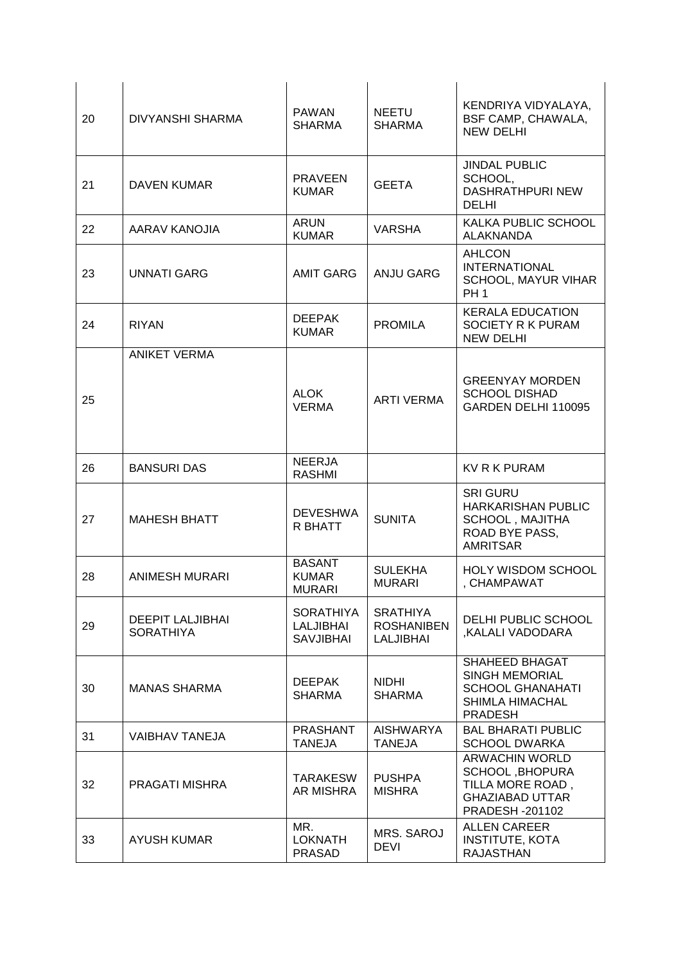| 20 | DIVYANSHI SHARMA                            | <b>PAWAN</b><br><b>SHARMA</b>                     | <b>NEETU</b><br><b>SHARMA</b>                            | KENDRIYA VIDYALAYA,<br>BSF CAMP, CHAWALA,<br><b>NEW DELHI</b>                                                  |
|----|---------------------------------------------|---------------------------------------------------|----------------------------------------------------------|----------------------------------------------------------------------------------------------------------------|
| 21 | <b>DAVEN KUMAR</b>                          | <b>PRAVEEN</b><br><b>KUMAR</b>                    | <b>GEETA</b>                                             | <b>JINDAL PUBLIC</b><br>SCHOOL,<br><b>DASHRATHPURI NEW</b><br><b>DELHI</b>                                     |
| 22 | AARAV KANOJIA                               | <b>ARUN</b><br><b>KUMAR</b>                       | <b>VARSHA</b>                                            | KALKA PUBLIC SCHOOL<br><b>ALAKNANDA</b>                                                                        |
| 23 | <b>UNNATI GARG</b>                          | <b>AMIT GARG</b>                                  | <b>ANJU GARG</b>                                         | <b>AHLCON</b><br><b>INTERNATIONAL</b><br>SCHOOL, MAYUR VIHAR<br><b>PH1</b>                                     |
| 24 | <b>RIYAN</b>                                | <b>DEEPAK</b><br><b>KUMAR</b>                     | <b>PROMILA</b>                                           | <b>KERALA EDUCATION</b><br>SOCIETY R K PURAM<br><b>NEW DELHI</b>                                               |
| 25 | <b>ANIKET VERMA</b>                         | <b>ALOK</b><br><b>VERMA</b>                       | <b>ARTI VERMA</b>                                        | <b>GREENYAY MORDEN</b><br><b>SCHOOL DISHAD</b><br>GARDEN DELHI 110095                                          |
| 26 | <b>BANSURI DAS</b>                          | <b>NEERJA</b><br><b>RASHMI</b>                    |                                                          | <b>KV R K PURAM</b>                                                                                            |
| 27 | <b>MAHESH BHATT</b>                         | <b>DEVESHWA</b><br>R BHATT                        | <b>SUNITA</b>                                            | <b>SRI GURU</b><br><b>HARKARISHAN PUBLIC</b><br><b>SCHOOL, MAJITHA</b><br>ROAD BYE PASS,<br><b>AMRITSAR</b>    |
| 28 | <b>ANIMESH MURARI</b>                       | <b>BASANT</b><br><b>KUMAR</b><br><b>MURARI</b>    | <b>SULEKHA</b><br><b>MURARI</b>                          | <b>HOLY WISDOM SCHOOL</b><br>, CHAMPAWAT                                                                       |
| 29 | <b>DEEPIT LALJIBHAI</b><br><b>SORATHIYA</b> | <b>SORATHIYA</b><br>LALJIBHAI<br><b>SAVJIBHAI</b> | <b>SRATHIYA</b><br><b>ROSHANIBEN</b><br><b>LALJIBHAI</b> | DELHI PUBLIC SCHOOL<br>KALALI VADODARA,                                                                        |
| 30 | <b>MANAS SHARMA</b>                         | <b>DEEPAK</b><br><b>SHARMA</b>                    | <b>NIDHI</b><br><b>SHARMA</b>                            | SHAHEED BHAGAT<br><b>SINGH MEMORIAL</b><br><b>SCHOOL GHANAHATI</b><br><b>SHIMLA HIMACHAL</b><br><b>PRADESH</b> |
| 31 | <b>VAIBHAV TANEJA</b>                       | <b>PRASHANT</b><br><b>TANEJA</b>                  | <b>AISHWARYA</b><br><b>TANEJA</b>                        | <b>BAL BHARATI PUBLIC</b><br><b>SCHOOL DWARKA</b>                                                              |
| 32 | PRAGATI MISHRA                              | <b>TARAKESW</b><br><b>AR MISHRA</b>               | <b>PUSHPA</b><br><b>MISHRA</b>                           | <b>ARWACHIN WORLD</b><br>SCHOOL, BHOPURA<br>TILLA MORE ROAD,<br><b>GHAZIABAD UTTAR</b><br>PRADESH - 201102     |
| 33 | <b>AYUSH KUMAR</b>                          | MR.<br><b>LOKNATH</b><br>PRASAD                   | MRS. SAROJ<br><b>DEVI</b>                                | <b>ALLEN CAREER</b><br><b>INSTITUTE, KOTA</b><br><b>RAJASTHAN</b>                                              |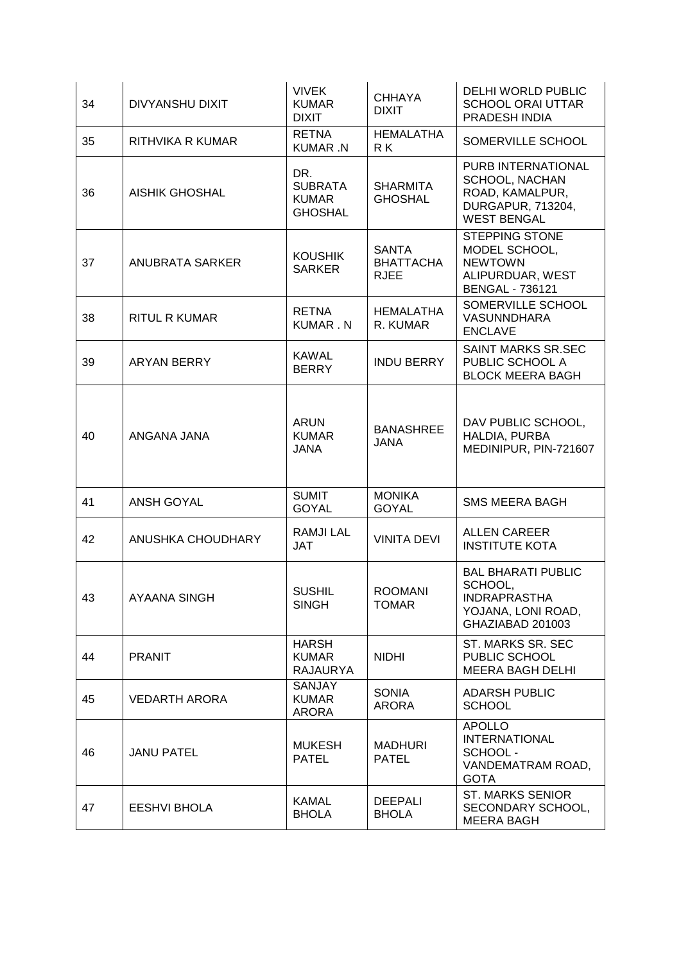| 34 | <b>DIVYANSHU DIXIT</b> | <b>VIVEK</b><br><b>KUMAR</b><br><b>DIXIT</b>            | <b>CHHAYA</b><br><b>DIXIT</b>                   | <b>DELHI WORLD PUBLIC</b><br><b>SCHOOL ORAI UTTAR</b><br>PRADESH INDIA                                           |
|----|------------------------|---------------------------------------------------------|-------------------------------------------------|------------------------------------------------------------------------------------------------------------------|
| 35 | RITHVIKA R KUMAR       | <b>RETNA</b><br>KUMAR .N                                | <b>HEMALATHA</b><br>R K                         | SOMERVILLE SCHOOL                                                                                                |
| 36 | <b>AISHIK GHOSHAL</b>  | DR.<br><b>SUBRATA</b><br><b>KUMAR</b><br><b>GHOSHAL</b> | <b>SHARMITA</b><br><b>GHOSHAL</b>               | PURB INTERNATIONAL<br><b>SCHOOL, NACHAN</b><br>ROAD, KAMALPUR,<br><b>DURGAPUR, 713204,</b><br><b>WEST BENGAL</b> |
| 37 | <b>ANUBRATA SARKER</b> | <b>KOUSHIK</b><br><b>SARKER</b>                         | <b>SANTA</b><br><b>BHATTACHA</b><br><b>RJEE</b> | <b>STEPPING STONE</b><br>MODEL SCHOOL,<br><b>NEWTOWN</b><br>ALIPURDUAR, WEST<br><b>BENGAL - 736121</b>           |
| 38 | <b>RITUL R KUMAR</b>   | <b>RETNA</b><br><b>KUMAR.N</b>                          | <b>HEMALATHA</b><br>R. KUMAR                    | SOMERVILLE SCHOOL<br><b>VASUNNDHARA</b><br><b>ENCLAVE</b>                                                        |
| 39 | ARYAN BERRY            | <b>KAWAL</b><br><b>BERRY</b>                            | <b>INDU BERRY</b>                               | SAINT MARKS SR.SEC<br>PUBLIC SCHOOL A<br><b>BLOCK MEERA BAGH</b>                                                 |
| 40 | ANGANA JANA            | <b>ARUN</b><br><b>KUMAR</b><br><b>JANA</b>              | <b>BANASHREE</b><br><b>JANA</b>                 | DAV PUBLIC SCHOOL,<br>HALDIA, PURBA<br>MEDINIPUR, PIN-721607                                                     |
| 41 | <b>ANSH GOYAL</b>      | <b>SUMIT</b><br><b>GOYAL</b>                            | <b>MONIKA</b><br><b>GOYAL</b>                   | <b>SMS MEERA BAGH</b>                                                                                            |
| 42 | ANUSHKA CHOUDHARY      | <b>RAMJILAL</b><br>JAT                                  | <b>VINITA DEVI</b>                              | <b>ALLEN CAREER</b><br><b>INSTITUTE KOTA</b>                                                                     |
| 43 | <b>AYAANA SINGH</b>    | <b>SUSHIL</b><br><b>SINGH</b>                           | <b>ROOMANI</b><br><b>TOMAR</b>                  | <b>BAL BHARATI PUBLIC</b><br>SCHOOL,<br><b>INDRAPRASTHA</b><br>YOJANA, LONI ROAD,<br>GHAZIABAD 201003            |
| 44 | <b>PRANIT</b>          | <b>HARSH</b><br><b>KUMAR</b><br><b>RAJAURYA</b>         | <b>NIDHI</b>                                    | ST. MARKS SR. SEC<br>PUBLIC SCHOOL<br><b>MEERA BAGH DELHI</b>                                                    |
| 45 | <b>VEDARTH ARORA</b>   | <b>SANJAY</b><br><b>KUMAR</b><br>ARORA                  | <b>SONIA</b><br><b>ARORA</b>                    | <b>ADARSH PUBLIC</b><br><b>SCHOOL</b>                                                                            |
| 46 | <b>JANU PATEL</b>      | <b>MUKESH</b><br><b>PATEL</b>                           | <b>MADHURI</b><br><b>PATEL</b>                  | <b>APOLLO</b><br><b>INTERNATIONAL</b><br>SCHOOL -<br>VANDEMATRAM ROAD,<br><b>GOTA</b>                            |
| 47 | <b>EESHVI BHOLA</b>    | <b>KAMAL</b><br><b>BHOLA</b>                            | <b>DEEPALI</b><br><b>BHOLA</b>                  | <b>ST. MARKS SENIOR</b><br>SECONDARY SCHOOL,<br><b>MEERA BAGH</b>                                                |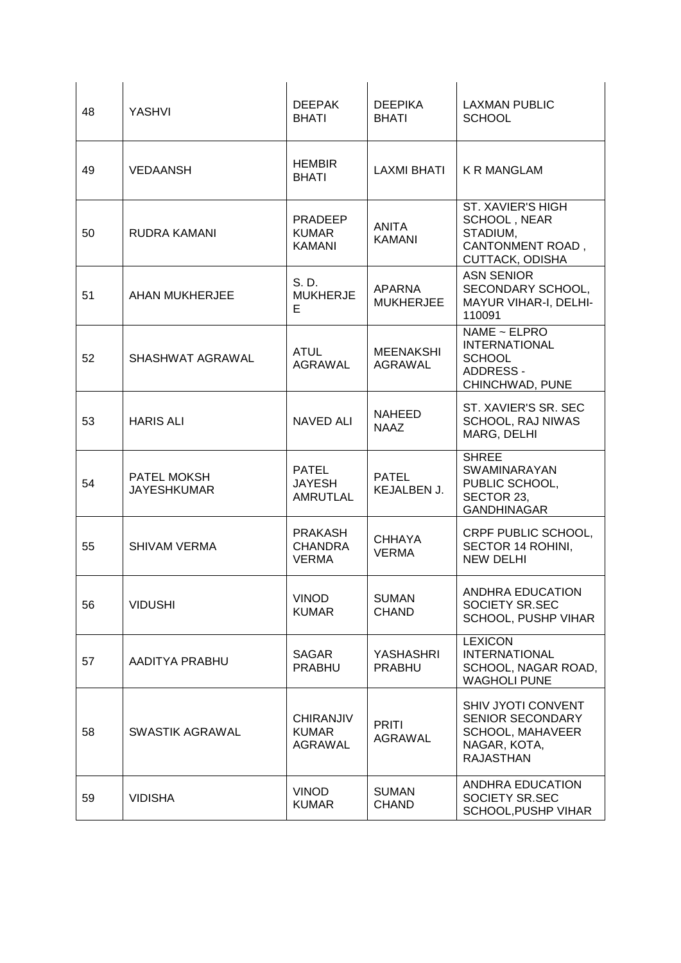| 48 | YASHVI                            | <b>DEEPAK</b><br><b>BHATI</b>                      | <b>DEEPIKA</b><br><b>BHATI</b>     | <b>LAXMAN PUBLIC</b><br><b>SCHOOL</b>                                                                        |
|----|-----------------------------------|----------------------------------------------------|------------------------------------|--------------------------------------------------------------------------------------------------------------|
| 49 | <b>VEDAANSH</b>                   | <b>HEMBIR</b><br><b>BHATI</b>                      | <b>LAXMI BHATI</b>                 | <b>K R MANGLAM</b>                                                                                           |
| 50 | RUDRA KAMANI                      | <b>PRADEEP</b><br><b>KUMAR</b><br><b>KAMANI</b>    | <b>ANITA</b><br><b>KAMANI</b>      | <b>ST. XAVIER'S HIGH</b><br>SCHOOL, NEAR<br>STADIUM,<br><b>CANTONMENT ROAD,</b><br><b>CUTTACK, ODISHA</b>    |
| 51 | AHAN MUKHERJEE                    | S. D.<br><b>MUKHERJE</b><br>E.                     | <b>APARNA</b><br><b>MUKHERJEE</b>  | <b>ASN SENIOR</b><br>SECONDARY SCHOOL,<br>MAYUR VIHAR-I, DELHI-<br>110091                                    |
| 52 | SHASHWAT AGRAWAL                  | <b>ATUL</b><br><b>AGRAWAL</b>                      | <b>MEENAKSHI</b><br><b>AGRAWAL</b> | NAME ~ ELPRO<br><b>INTERNATIONAL</b><br><b>SCHOOL</b><br>ADDRESS -<br>CHINCHWAD, PUNE                        |
| 53 | <b>HARIS ALI</b>                  | <b>NAVED ALI</b>                                   | <b>NAHEED</b><br><b>NAAZ</b>       | ST. XAVIER'S SR. SEC<br>SCHOOL, RAJ NIWAS<br>MARG, DELHI                                                     |
| 54 | PATEL MOKSH<br><b>JAYESHKUMAR</b> | <b>PATEL</b><br><b>JAYESH</b><br>AMRUTLAL          | <b>PATEL</b><br>KEJALBEN J.        | <b>SHREE</b><br><b>SWAMINARAYAN</b><br>PUBLIC SCHOOL,<br>SECTOR 23,<br><b>GANDHINAGAR</b>                    |
| 55 | <b>SHIVAM VERMA</b>               | <b>PRAKASH</b><br><b>CHANDRA</b><br><b>VERMA</b>   | <b>CHHAYA</b><br><b>VERMA</b>      | CRPF PUBLIC SCHOOL,<br>SECTOR 14 ROHINI,<br><b>NEW DELHI</b>                                                 |
| 56 | <b>VIDUSHI</b>                    | <b>VINOD</b><br><b>KUMAR</b>                       | <b>SUMAN</b><br><b>CHAND</b>       | ANDHRA EDUCATION<br>SOCIETY SR.SEC<br>SCHOOL, PUSHP VIHAR                                                    |
| 57 | AADITYA PRABHU                    | <b>SAGAR</b><br><b>PRABHU</b>                      | <b>YASHASHRI</b><br><b>PRABHU</b>  | <b>LEXICON</b><br><b>INTERNATIONAL</b><br>SCHOOL, NAGAR ROAD,<br><b>WAGHOLI PUNE</b>                         |
| 58 | SWASTIK AGRAWAL                   | <b>CHIRANJIV</b><br><b>KUMAR</b><br><b>AGRAWAL</b> | <b>PRITI</b><br><b>AGRAWAL</b>     | SHIV JYOTI CONVENT<br><b>SENIOR SECONDARY</b><br><b>SCHOOL, MAHAVEER</b><br>NAGAR, KOTA,<br><b>RAJASTHAN</b> |
| 59 | <b>VIDISHA</b>                    | <b>VINOD</b><br><b>KUMAR</b>                       | <b>SUMAN</b><br><b>CHAND</b>       | ANDHRA EDUCATION<br>SOCIETY SR.SEC<br>SCHOOL, PUSHP VIHAR                                                    |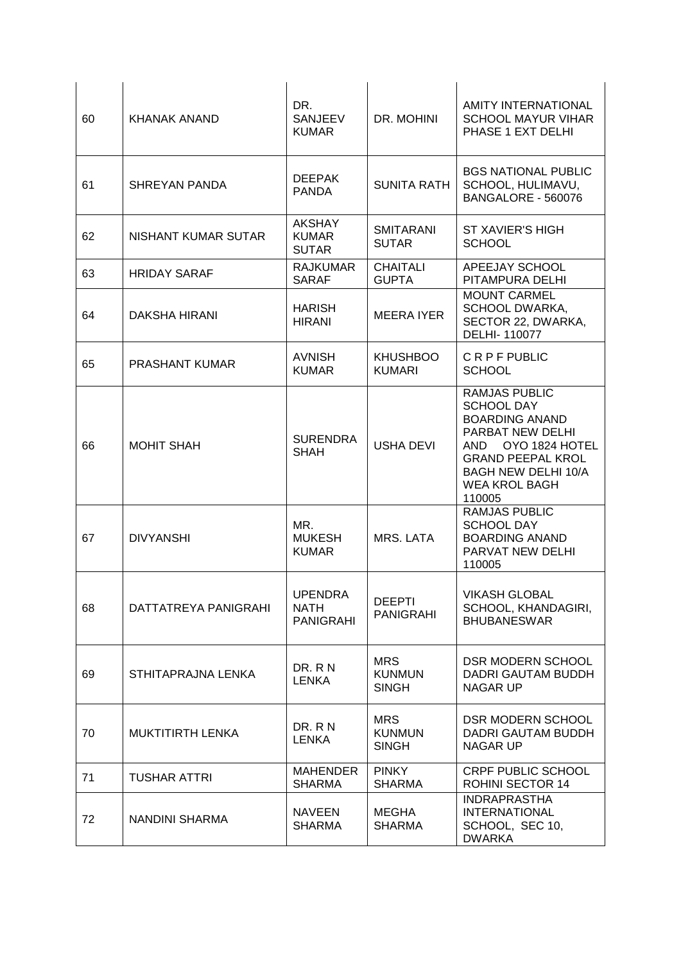| 60 | <b>KHANAK ANAND</b>   | DR.<br><b>SANJEEV</b><br><b>KUMAR</b>         | DR. MOHINI                                  | <b>AMITY INTERNATIONAL</b><br><b>SCHOOL MAYUR VIHAR</b><br>PHASE 1 EXT DELHI                                                                                                                                 |
|----|-----------------------|-----------------------------------------------|---------------------------------------------|--------------------------------------------------------------------------------------------------------------------------------------------------------------------------------------------------------------|
| 61 | <b>SHREYAN PANDA</b>  | <b>DEEPAK</b><br><b>PANDA</b>                 | <b>SUNITA RATH</b>                          | <b>BGS NATIONAL PUBLIC</b><br>SCHOOL, HULIMAVU,<br>BANGALORE - 560076                                                                                                                                        |
| 62 | NISHANT KUMAR SUTAR   | <b>AKSHAY</b><br><b>KUMAR</b><br><b>SUTAR</b> | <b>SMITARANI</b><br><b>SUTAR</b>            | <b>ST XAVIER'S HIGH</b><br><b>SCHOOL</b>                                                                                                                                                                     |
| 63 | <b>HRIDAY SARAF</b>   | <b>RAJKUMAR</b><br><b>SARAF</b>               | <b>CHAITALI</b><br><b>GUPTA</b>             | APEEJAY SCHOOL<br>PITAMPURA DELHI                                                                                                                                                                            |
| 64 | DAKSHA HIRANI         | <b>HARISH</b><br><b>HIRANI</b>                | <b>MEERA IYER</b>                           | <b>MOUNT CARMEL</b><br><b>SCHOOL DWARKA,</b><br>SECTOR 22, DWARKA,<br>DELHI-110077                                                                                                                           |
| 65 | <b>PRASHANT KUMAR</b> | <b>AVNISH</b><br><b>KUMAR</b>                 | <b>KHUSHBOO</b><br><b>KUMARI</b>            | <b>CRPFPUBLIC</b><br><b>SCHOOL</b>                                                                                                                                                                           |
| 66 | <b>MOHIT SHAH</b>     | <b>SURENDRA</b><br><b>SHAH</b>                | <b>USHA DEVI</b>                            | <b>RAMJAS PUBLIC</b><br><b>SCHOOL DAY</b><br><b>BOARDING ANAND</b><br>PARBAT NEW DELHI<br>OYO 1824 HOTEL<br>AND.<br><b>GRAND PEEPAL KROL</b><br><b>BAGH NEW DELHI 10/A</b><br><b>WEA KROL BAGH</b><br>110005 |
| 67 | <b>DIVYANSHI</b>      | MR.<br><b>MUKESH</b><br><b>KUMAR</b>          | MRS. LATA                                   | <b>RAMJAS PUBLIC</b><br><b>SCHOOL DAY</b><br><b>BOARDING ANAND</b><br>PARVAT NEW DELHI<br>110005                                                                                                             |
| 68 | DATTATREYA PANIGRAHI  | <b>UPENDRA</b><br>NATH<br><b>PANIGRAHI</b>    | <b>DEEPTI</b><br><b>PANIGRAHI</b>           | <b>VIKASH GLOBAL</b><br>SCHOOL, KHANDAGIRI,<br><b>BHUBANESWAR</b>                                                                                                                                            |
| 69 | STHITAPRAJNA LENKA    | DR. R N<br><b>LENKA</b>                       | <b>MRS</b><br><b>KUNMUN</b><br><b>SINGH</b> | <b>DSR MODERN SCHOOL</b><br>DADRI GAUTAM BUDDH<br><b>NAGAR UP</b>                                                                                                                                            |
| 70 | MUKTITIRTH LENKA      | DR. RN<br><b>LENKA</b>                        | <b>MRS</b><br><b>KUNMUN</b><br><b>SINGH</b> | <b>DSR MODERN SCHOOL</b><br>DADRI GAUTAM BUDDH<br><b>NAGAR UP</b>                                                                                                                                            |
| 71 | <b>TUSHAR ATTRI</b>   | <b>MAHENDER</b><br><b>SHARMA</b>              | <b>PINKY</b><br><b>SHARMA</b>               | <b>CRPF PUBLIC SCHOOL</b><br>ROHINI SECTOR 14                                                                                                                                                                |
| 72 | NANDINI SHARMA        | <b>NAVEEN</b><br><b>SHARMA</b>                | <b>MEGHA</b><br><b>SHARMA</b>               | <b>INDRAPRASTHA</b><br><b>INTERNATIONAL</b><br>SCHOOL, SEC 10,<br><b>DWARKA</b>                                                                                                                              |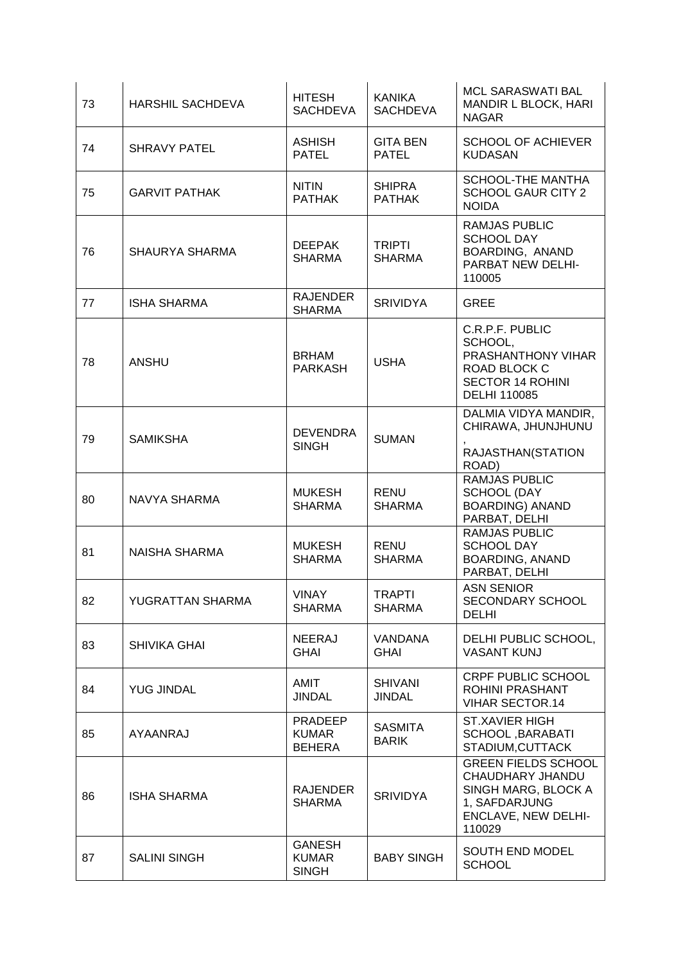| 73 | <b>HARSHIL SACHDEVA</b> | <b>HITESH</b><br><b>SACHDEVA</b>                | <b>KANIKA</b><br><b>SACHDEVA</b> | <b>MCL SARASWATI BAL</b><br><b>MANDIR L BLOCK, HARI</b><br><b>NAGAR</b>                                                 |
|----|-------------------------|-------------------------------------------------|----------------------------------|-------------------------------------------------------------------------------------------------------------------------|
| 74 | <b>SHRAVY PATEL</b>     | <b>ASHISH</b><br><b>PATEL</b>                   | <b>GITA BEN</b><br><b>PATEL</b>  | <b>SCHOOL OF ACHIEVER</b><br><b>KUDASAN</b>                                                                             |
| 75 | <b>GARVIT PATHAK</b>    | <b>NITIN</b><br><b>PATHAK</b>                   | <b>SHIPRA</b><br><b>PATHAK</b>   | SCHOOL-THE MANTHA<br><b>SCHOOL GAUR CITY 2</b><br><b>NOIDA</b>                                                          |
| 76 | <b>SHAURYA SHARMA</b>   | <b>DEEPAK</b><br><b>SHARMA</b>                  | <b>TRIPTI</b><br><b>SHARMA</b>   | RAMJAS PUBLIC<br><b>SCHOOL DAY</b><br>BOARDING, ANAND<br>PARBAT NEW DELHI-<br>110005                                    |
| 77 | <b>ISHA SHARMA</b>      | <b>RAJENDER</b><br><b>SHARMA</b>                | <b>SRIVIDYA</b>                  | <b>GREE</b>                                                                                                             |
| 78 | <b>ANSHU</b>            | <b>BRHAM</b><br><b>PARKASH</b>                  | <b>USHA</b>                      | C.R.P.F. PUBLIC<br>SCHOOL,<br>PRASHANTHONY VIHAR<br>ROAD BLOCK C<br><b>SECTOR 14 ROHINI</b><br><b>DELHI 110085</b>      |
| 79 | <b>SAMIKSHA</b>         | <b>DEVENDRA</b><br><b>SINGH</b>                 | <b>SUMAN</b>                     | DALMIA VIDYA MANDIR,<br>CHIRAWA, JHUNJHUNU<br>RAJASTHAN(STATION<br>ROAD)                                                |
| 80 | NAVYA SHARMA            | <b>MUKESH</b><br><b>SHARMA</b>                  | <b>RENU</b><br><b>SHARMA</b>     | <b>RAMJAS PUBLIC</b><br>SCHOOL (DAY<br><b>BOARDING) ANAND</b><br>PARBAT, DELHI                                          |
| 81 | <b>NAISHA SHARMA</b>    | <b>MUKESH</b><br><b>SHARMA</b>                  | <b>RENU</b><br><b>SHARMA</b>     | <b>RAMJAS PUBLIC</b><br><b>SCHOOL DAY</b><br><b>BOARDING, ANAND</b><br>PARBAT, DELHI                                    |
| 82 | YUGRATTAN SHARMA        | <b>VINAY</b><br><b>SHARMA</b>                   | <b>TRAPTI</b><br><b>SHARMA</b>   | <b>ASN SENIOR</b><br>SECONDARY SCHOOL<br><b>DELHI</b>                                                                   |
| 83 | <b>SHIVIKA GHAI</b>     | <b>NEERAJ</b><br><b>GHAI</b>                    | VANDANA<br><b>GHAI</b>           | DELHI PUBLIC SCHOOL,<br><b>VASANT KUNJ</b>                                                                              |
| 84 | <b>YUG JINDAL</b>       | <b>AMIT</b><br><b>JINDAL</b>                    | <b>SHIVANI</b><br><b>JINDAL</b>  | <b>CRPF PUBLIC SCHOOL</b><br>ROHINI PRASHANT<br><b>VIHAR SECTOR.14</b>                                                  |
| 85 | AYAANRAJ                | <b>PRADEEP</b><br><b>KUMAR</b><br><b>BEHERA</b> | <b>SASMITA</b><br><b>BARIK</b>   | <b>ST.XAVIER HIGH</b><br>SCHOOL, BARABATI<br>STADIUM, CUTTACK                                                           |
| 86 | <b>ISHA SHARMA</b>      | <b>RAJENDER</b><br><b>SHARMA</b>                | <b>SRIVIDYA</b>                  | <b>GREEN FIELDS SCHOOL</b><br>CHAUDHARY JHANDU<br>SINGH MARG, BLOCK A<br>1, SAFDARJUNG<br>ENCLAVE, NEW DELHI-<br>110029 |
| 87 | <b>SALINI SINGH</b>     | <b>GANESH</b><br><b>KUMAR</b><br><b>SINGH</b>   | <b>BABY SINGH</b>                | SOUTH END MODEL<br><b>SCHOOL</b>                                                                                        |